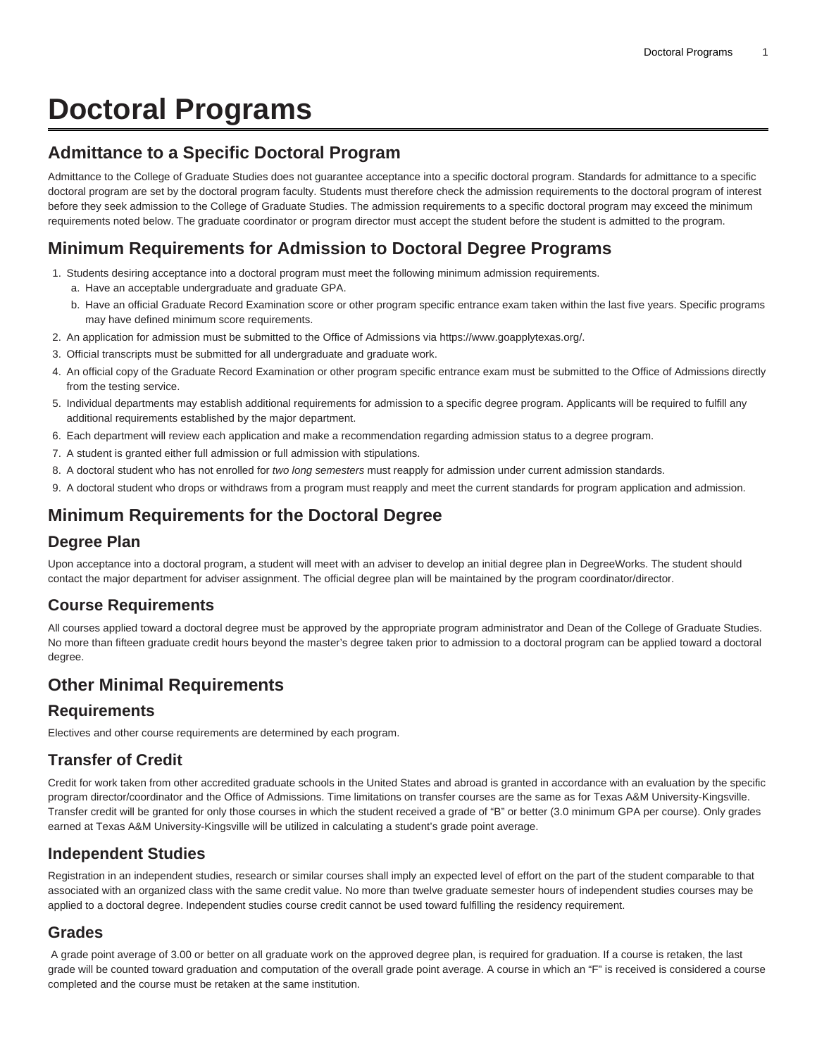# **Doctoral Programs**

## **Admittance to a Specific Doctoral Program**

Admittance to the College of Graduate Studies does not guarantee acceptance into a specific doctoral program. Standards for admittance to a specific doctoral program are set by the doctoral program faculty. Students must therefore check the admission requirements to the doctoral program of interest before they seek admission to the College of Graduate Studies. The admission requirements to a specific doctoral program may exceed the minimum requirements noted below. The graduate coordinator or program director must accept the student before the student is admitted to the program.

# **Minimum Requirements for Admission to Doctoral Degree Programs**

- 1. Students desiring acceptance into a doctoral program must meet the following minimum admission requirements.
	- a. Have an acceptable undergraduate and graduate GPA.
	- b. Have an official Graduate Record Examination score or other program specific entrance exam taken within the last five years. Specific programs may have defined minimum score requirements.
- 2. An application for admission must be submitted to the Office of Admissions via <https://www.goapplytexas.org/>.
- 3. Official transcripts must be submitted for all undergraduate and graduate work.
- 4. An official copy of the Graduate Record Examination or other program specific entrance exam must be submitted to the Office of Admissions directly from the testing service.
- 5. Individual departments may establish additional requirements for admission to a specific degree program. Applicants will be required to fulfill any additional requirements established by the major department.
- 6. Each department will review each application and make a recommendation regarding admission status to a degree program.
- 7. A student is granted either full admission or full admission with stipulations.
- 8. A doctoral student who has not enrolled for two long semesters must reapply for admission under current admission standards.
- 9. A doctoral student who drops or withdraws from a program must reapply and meet the current standards for program application and admission.

# **Minimum Requirements for the Doctoral Degree**

#### **Degree Plan**

Upon acceptance into a doctoral program, a student will meet with an adviser to develop an initial degree plan in DegreeWorks. The student should contact the major department for adviser assignment. The official degree plan will be maintained by the program coordinator/director.

## **Course Requirements**

All courses applied toward a doctoral degree must be approved by the appropriate program administrator and Dean of the College of Graduate Studies. No more than fifteen graduate credit hours beyond the master's degree taken prior to admission to a doctoral program can be applied toward a doctoral degree.

## **Other Minimal Requirements**

#### **Requirements**

Electives and other course requirements are determined by each program.

#### **Transfer of Credit**

Credit for work taken from other accredited graduate schools in the United States and abroad is granted in accordance with an evaluation by the specific program director/coordinator and the Office of Admissions. Time limitations on transfer courses are the same as for Texas A&M University-Kingsville. Transfer credit will be granted for only those courses in which the student received a grade of "B" or better (3.0 minimum GPA per course). Only grades earned at Texas A&M University-Kingsville will be utilized in calculating a student's grade point average.

#### **Independent Studies**

Registration in an independent studies, research or similar courses shall imply an expected level of effort on the part of the student comparable to that associated with an organized class with the same credit value. No more than twelve graduate semester hours of independent studies courses may be applied to a doctoral degree. Independent studies course credit cannot be used toward fulfilling the residency requirement.

#### **Grades**

 A grade point average of 3.00 or better on all graduate work on the approved degree plan, is required for graduation. If a course is retaken, the last grade will be counted toward graduation and computation of the overall grade point average. A course in which an "F" is received is considered a course completed and the course must be retaken at the same institution.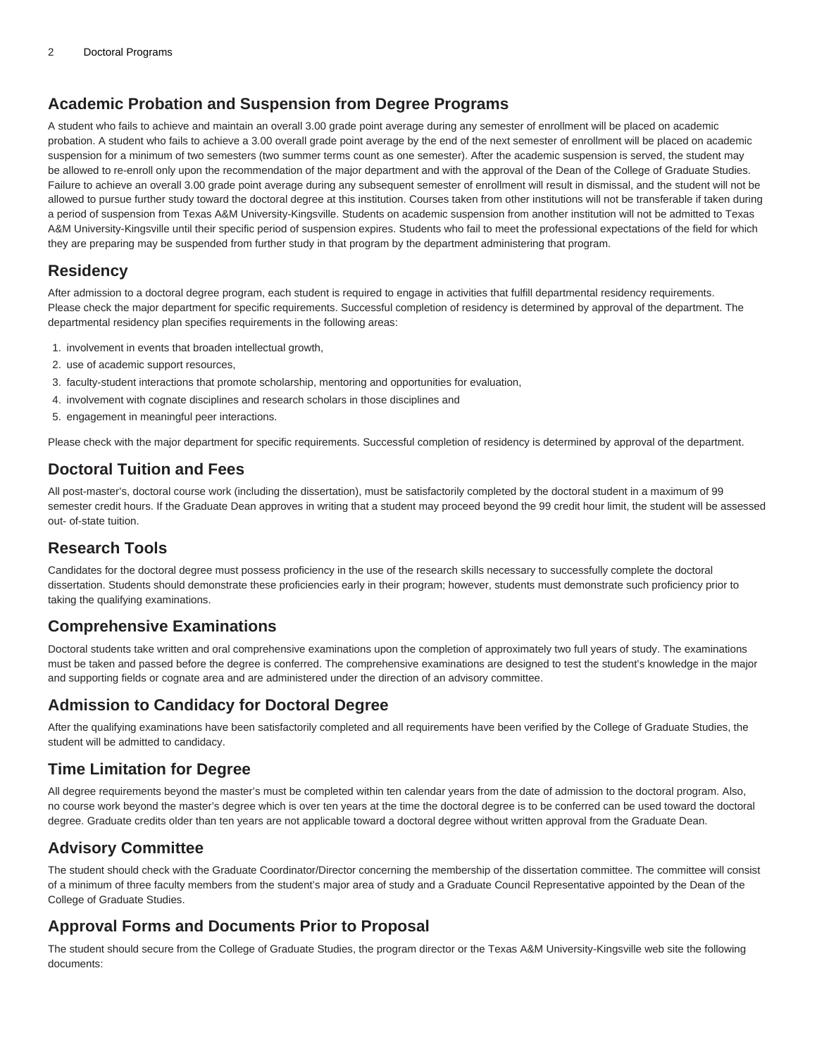### **Academic Probation and Suspension from Degree Programs**

A student who fails to achieve and maintain an overall 3.00 grade point average during any semester of enrollment will be placed on academic probation. A student who fails to achieve a 3.00 overall grade point average by the end of the next semester of enrollment will be placed on academic suspension for a minimum of two semesters (two summer terms count as one semester). After the academic suspension is served, the student may be allowed to re-enroll only upon the recommendation of the major department and with the approval of the Dean of the College of Graduate Studies. Failure to achieve an overall 3.00 grade point average during any subsequent semester of enrollment will result in dismissal, and the student will not be allowed to pursue further study toward the doctoral degree at this institution. Courses taken from other institutions will not be transferable if taken during a period of suspension from Texas A&M University-Kingsville. Students on academic suspension from another institution will not be admitted to Texas A&M University-Kingsville until their specific period of suspension expires. Students who fail to meet the professional expectations of the field for which they are preparing may be suspended from further study in that program by the department administering that program.

#### **Residency**

After admission to a doctoral degree program, each student is required to engage in activities that fulfill departmental residency requirements. Please check the major department for specific requirements. Successful completion of residency is determined by approval of the department. The departmental residency plan specifies requirements in the following areas:

- 1. involvement in events that broaden intellectual growth,
- 2. use of academic support resources,
- 3. faculty-student interactions that promote scholarship, mentoring and opportunities for evaluation,
- 4. involvement with cognate disciplines and research scholars in those disciplines and
- 5. engagement in meaningful peer interactions.

Please check with the major department for specific requirements. Successful completion of residency is determined by approval of the department.

## **Doctoral Tuition and Fees**

All post-master's, doctoral course work (including the dissertation), must be satisfactorily completed by the doctoral student in a maximum of 99 semester credit hours. If the Graduate Dean approves in writing that a student may proceed beyond the 99 credit hour limit, the student will be assessed out- of-state tuition.

## **Research Tools**

Candidates for the doctoral degree must possess proficiency in the use of the research skills necessary to successfully complete the doctoral dissertation. Students should demonstrate these proficiencies early in their program; however, students must demonstrate such proficiency prior to taking the qualifying examinations.

## **Comprehensive Examinations**

Doctoral students take written and oral comprehensive examinations upon the completion of approximately two full years of study. The examinations must be taken and passed before the degree is conferred. The comprehensive examinations are designed to test the student's knowledge in the major and supporting fields or cognate area and are administered under the direction of an advisory committee.

#### **Admission to Candidacy for Doctoral Degree**

After the qualifying examinations have been satisfactorily completed and all requirements have been verified by the College of Graduate Studies, the student will be admitted to candidacy.

## **Time Limitation for Degree**

All degree requirements beyond the master's must be completed within ten calendar years from the date of admission to the doctoral program. Also, no course work beyond the master's degree which is over ten years at the time the doctoral degree is to be conferred can be used toward the doctoral degree. Graduate credits older than ten years are not applicable toward a doctoral degree without written approval from the Graduate Dean.

# **Advisory Committee**

The student should check with the Graduate Coordinator/Director concerning the membership of the dissertation committee. The committee will consist of a minimum of three faculty members from the student's major area of study and a Graduate Council Representative appointed by the Dean of the College of Graduate Studies.

## **Approval Forms and Documents Prior to Proposal**

The student should secure from the College of Graduate Studies, the program director or the Texas A&M University-Kingsville web site the following documents: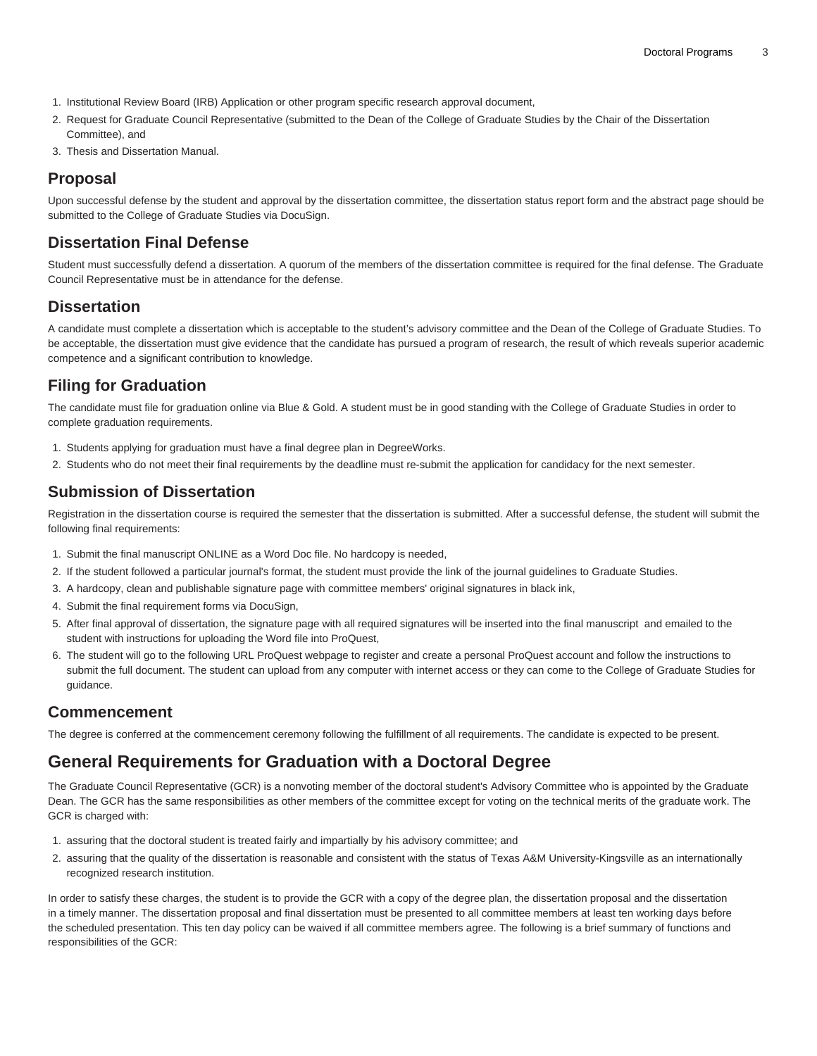- 1. Institutional Review Board (IRB) Application or other program specific research approval document,
- 2. Request for Graduate Council Representative (submitted to the Dean of the College of Graduate Studies by the Chair of the Dissertation Committee), and
- 3. Thesis and Dissertation Manual.

## **Proposal**

Upon successful defense by the student and approval by the dissertation committee, the dissertation status report form and the abstract page should be submitted to the College of Graduate Studies via DocuSign.

#### **Dissertation Final Defense**

Student must successfully defend a dissertation. A quorum of the members of the dissertation committee is required for the final defense. The Graduate Council Representative must be in attendance for the defense.

#### **Dissertation**

A candidate must complete a dissertation which is acceptable to the student's advisory committee and the Dean of the College of Graduate Studies. To be acceptable, the dissertation must give evidence that the candidate has pursued a program of research, the result of which reveals superior academic competence and a significant contribution to knowledge.

## **Filing for Graduation**

The candidate must file for graduation online via Blue & Gold. A student must be in good standing with the College of Graduate Studies in order to complete graduation requirements.

- 1. Students applying for graduation must have a final degree plan in DegreeWorks.
- 2. Students who do not meet their final requirements by the deadline must re-submit the application for candidacy for the next semester.

## **Submission of Dissertation**

Registration in the dissertation course is required the semester that the dissertation is submitted. After a successful defense, the student will submit the following final requirements:

- 1. Submit the final manuscript ONLINE as a Word Doc file. No hardcopy is needed,
- 2. If the student followed a particular journal's format, the student must provide the link of the journal guidelines to Graduate Studies.
- 3. A hardcopy, clean and publishable signature page with committee members' original signatures in black ink,
- 4. Submit the final requirement forms via DocuSign,
- 5. After final approval of dissertation, the signature page with all required signatures will be inserted into the final manuscript and emailed to the student with instructions for uploading the Word file into ProQuest,
- 6. The student will go to the following URL [ProQuest webpage](https://www.etdadmin.com/main/home/?siteId=468) to register and create a personal ProQuest account and follow the instructions to submit the full document. The student can upload from any computer with internet access or they can come to the College of Graduate Studies for guidance.

## **Commencement**

The degree is conferred at the commencement ceremony following the fulfillment of all requirements. The candidate is expected to be present.

# **General Requirements for Graduation with a Doctoral Degree**

The Graduate Council Representative (GCR) is a nonvoting member of the doctoral student's Advisory Committee who is appointed by the Graduate Dean. The GCR has the same responsibilities as other members of the committee except for voting on the technical merits of the graduate work. The GCR is charged with:

- 1. assuring that the doctoral student is treated fairly and impartially by his advisory committee; and
- 2. assuring that the quality of the dissertation is reasonable and consistent with the status of Texas A&M University-Kingsville as an internationally recognized research institution.

In order to satisfy these charges, the student is to provide the GCR with a copy of the degree plan, the dissertation proposal and the dissertation in a timely manner. The dissertation proposal and final dissertation must be presented to all committee members at least ten working days before the scheduled presentation. This ten day policy can be waived if all committee members agree. The following is a brief summary of functions and responsibilities of the GCR: